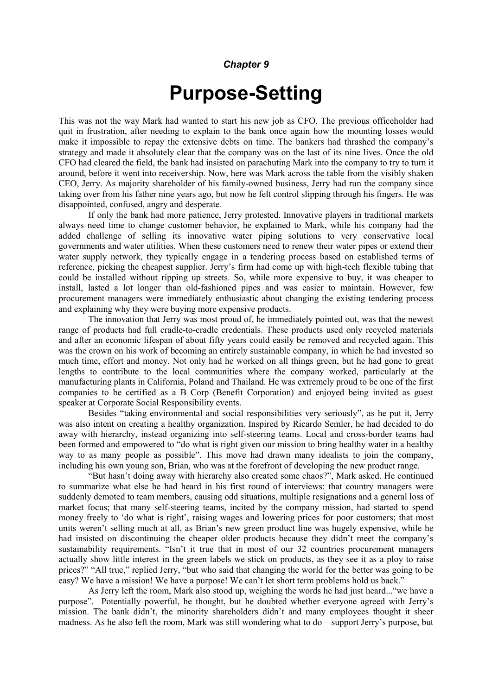## Chapter 9

## Purpose-Setting

This was not the way Mark had wanted to start his new job as CFO. The previous officeholder had quit in frustration, after needing to explain to the bank once again how the mounting losses would make it impossible to repay the extensive debts on time. The bankers had thrashed the company's strategy and made it absolutely clear that the company was on the last of its nine lives. Once the old CFO had cleared the field, the bank had insisted on parachuting Mark into the company to try to turn it around, before it went into receivership. Now, here was Mark across the table from the visibly shaken CEO, Jerry. As majority shareholder of his family-owned business, Jerry had run the company since taking over from his father nine years ago, but now he felt control slipping through his fingers. He was disappointed, confused, angry and desperate.

 If only the bank had more patience, Jerry protested. Innovative players in traditional markets always need time to change customer behavior, he explained to Mark, while his company had the added challenge of selling its innovative water piping solutions to very conservative local governments and water utilities. When these customers need to renew their water pipes or extend their water supply network, they typically engage in a tendering process based on established terms of reference, picking the cheapest supplier. Jerry's firm had come up with high-tech flexible tubing that could be installed without ripping up streets. So, while more expensive to buy, it was cheaper to install, lasted a lot longer than old-fashioned pipes and was easier to maintain. However, few procurement managers were immediately enthusiastic about changing the existing tendering process and explaining why they were buying more expensive products.

 The innovation that Jerry was most proud of, he immediately pointed out, was that the newest range of products had full cradle-to-cradle credentials. These products used only recycled materials and after an economic lifespan of about fifty years could easily be removed and recycled again. This was the crown on his work of becoming an entirely sustainable company, in which he had invested so much time, effort and money. Not only had he worked on all things green, but he had gone to great lengths to contribute to the local communities where the company worked, particularly at the manufacturing plants in California, Poland and Thailand. He was extremely proud to be one of the first companies to be certified as a B Corp (Benefit Corporation) and enjoyed being invited as guest speaker at Corporate Social Responsibility events.

Besides "taking environmental and social responsibilities very seriously", as he put it, Jerry was also intent on creating a healthy organization. Inspired by Ricardo Semler, he had decided to do away with hierarchy, instead organizing into self-steering teams. Local and cross-border teams had been formed and empowered to "do what is right given our mission to bring healthy water in a healthy way to as many people as possible". This move had drawn many idealists to join the company, including his own young son, Brian, who was at the forefront of developing the new product range.

"But hasn't doing away with hierarchy also created some chaos?", Mark asked. He continued to summarize what else he had heard in his first round of interviews: that country managers were suddenly demoted to team members, causing odd situations, multiple resignations and a general loss of market focus; that many self-steering teams, incited by the company mission, had started to spend money freely to 'do what is right', raising wages and lowering prices for poor customers; that most units weren't selling much at all, as Brian's new green product line was hugely expensive, while he had insisted on discontinuing the cheaper older products because they didn't meet the company's sustainability requirements. "Isn't it true that in most of our 32 countries procurement managers actually show little interest in the green labels we stick on products, as they see it as a ploy to raise prices?" "All true," replied Jerry, "but who said that changing the world for the better was going to be easy? We have a mission! We have a purpose! We can't let short term problems hold us back."

As Jerry left the room, Mark also stood up, weighing the words he had just heard..."we have a purpose". Potentially powerful, he thought, but he doubted whether everyone agreed with Jerry's mission. The bank didn't, the minority shareholders didn't and many employees thought it sheer madness. As he also left the room, Mark was still wondering what to do – support Jerry's purpose, but